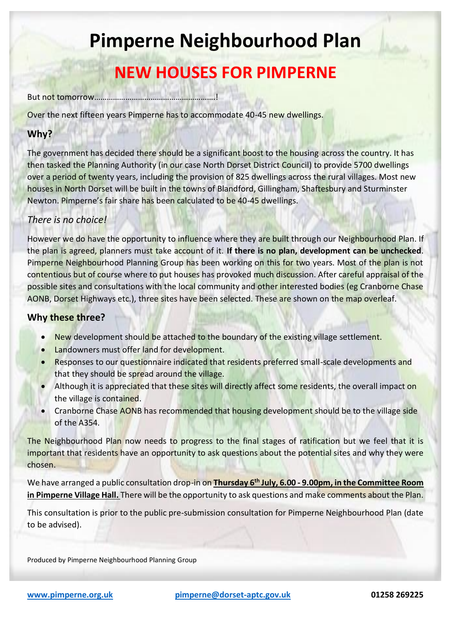# **Pimperne Neighbourhood Plan**

## **NEW HOUSES FOR PIMPERNE**

But not tomorrow………………………………………………….!

Over the next fifteen years Pimperne has to accommodate 40-45 new dwellings.

### **Why?**

The government has decided there should be a significant boost to the housing across the country. It has then tasked the Planning Authority (in our case North Dorset District Council) to provide 5700 dwellings over a period of twenty years, including the provision of 825 dwellings across the rural villages. Most new houses in North Dorset will be built in the towns of Blandford, Gillingham, Shaftesbury and Sturminster Newton. Pimperne's fair share has been calculated to be 40-45 dwellings.

#### *There is no choice!*

However we do have the opportunity to influence where they are built through our Neighbourhood Plan. If the plan is agreed, planners must take account of it. **If there is no plan, development can be unchecked**. Pimperne Neighbourhood Planning Group has been working on this for two years. Most of the plan is not contentious but of course where to put houses has provoked much discussion. After careful appraisal of the possible sites and consultations with the local community and other interested bodies (eg Cranborne Chase AONB, Dorset Highways etc.), three sites have been selected. These are shown on the map overleaf.

#### **Why these three?**

- New development should be attached to the boundary of the existing village settlement.
- Landowners must offer land for development.
- Responses to our questionnaire indicated that residents preferred small-scale developments and that they should be spread around the village.
- Although it is appreciated that these sites will directly affect some residents, the overall impact on the village is contained.
- Cranborne Chase AONB has recommended that housing development should be to the village side of the A354.

The Neighbourhood Plan now needs to progress to the final stages of ratification but we feel that it is important that residents have an opportunity to ask questions about the potential sites and why they were chosen.

We have arranged a public consultation drop-in on **Thursday 6th July, 6.00 - 9.00pm, in the Committee Room in Pimperne Village Hall.** There will be the opportunity to ask questions and make comments about the Plan.

This consultation is prior to the public pre-submission consultation for Pimperne Neighbourhood Plan (date to be advised).

Produced by Pimperne Neighbourhood Planning Group